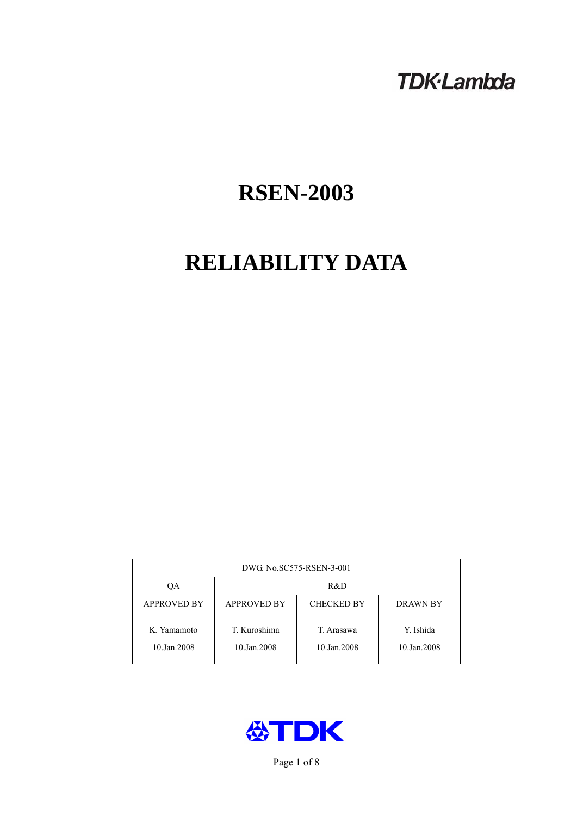# **TDK-Lambda**

# **RSEN-2003**

# **RELIABILITY DATA**

| DWG No.SC575-RSEN-3-001    |                                                            |                           |                          |  |  |
|----------------------------|------------------------------------------------------------|---------------------------|--------------------------|--|--|
| QA                         | R&D                                                        |                           |                          |  |  |
| <b>APPROVED BY</b>         | <b>APPROVED BY</b><br><b>CHECKED BY</b><br><b>DRAWN BY</b> |                           |                          |  |  |
| K. Yamamoto<br>10.Jan.2008 | T. Kuroshima<br>10.Jan.2008                                | T. Arasawa<br>10.Jan.2008 | Y. Ishida<br>10.Jan.2008 |  |  |



Page 1 of 8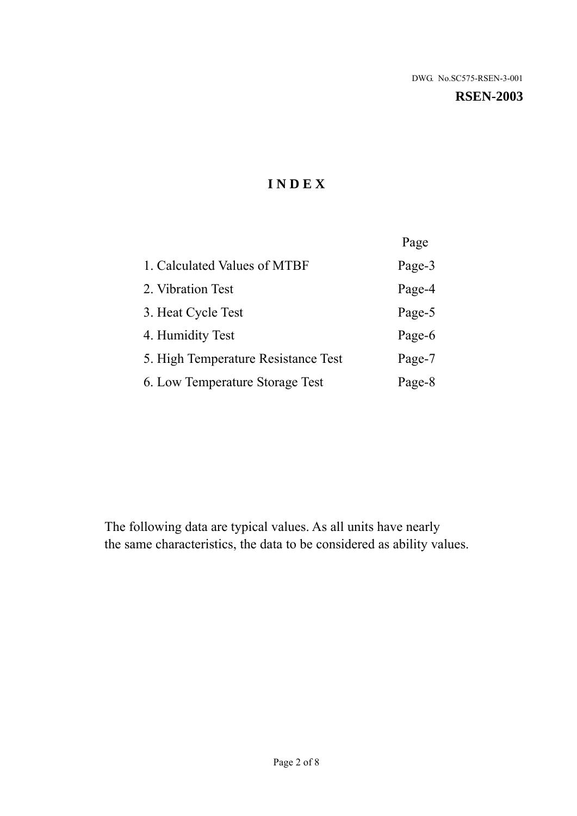#### **RSEN-2003**

# **I N D E X**

|                                     | Page   |
|-------------------------------------|--------|
| 1. Calculated Values of MTBF        | Page-3 |
| 2. Vibration Test                   | Page-4 |
| 3. Heat Cycle Test                  | Page-5 |
| 4. Humidity Test                    | Page-6 |
| 5. High Temperature Resistance Test | Page-7 |
| 6. Low Temperature Storage Test     | Page-8 |

The following data are typical values. As all units have nearly the same characteristics, the data to be considered as ability values.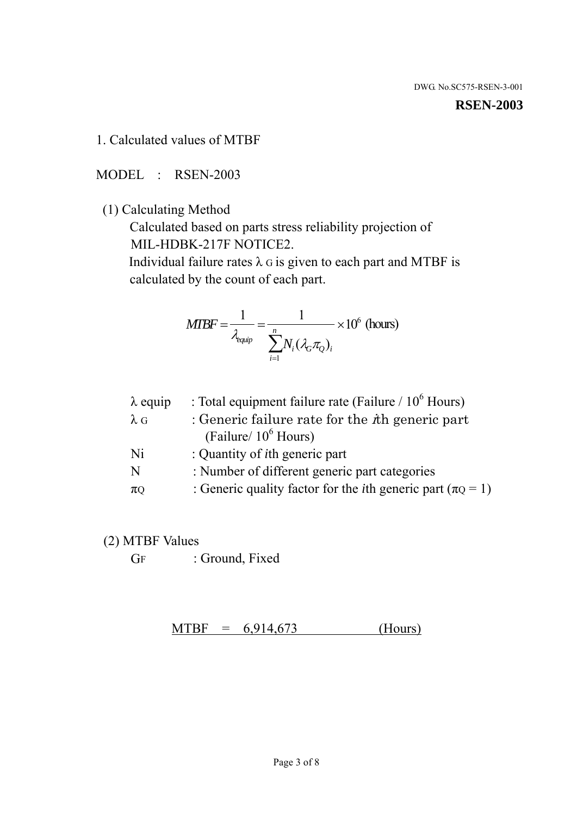#### **RSEN-2003**

1. Calculated values of MTBF

MODEL : RSEN-2003

(1) Calculating Method

 Calculated based on parts stress reliability projection of MIL-HDBK-217F NOTICE2.

Individual failure rates  $\lambda$  G is given to each part and MTBF is calculated by the count of each part.

$$
MTBF = \frac{1}{\lambda_{\text{equip}}} = \frac{1}{\sum_{i=1}^{n} N_i (\lambda_G \pi_Q)_i} \times 10^6 \text{ (hours)}
$$

| $\lambda$ equip | : Total equipment failure rate (Failure $/ 10^6$ Hours)                   |
|-----------------|---------------------------------------------------------------------------|
| $\lambda$ G     | : Generic failure rate for the $\hbar$ generic part                       |
|                 | (Failure/ $10^6$ Hours)                                                   |
| Ni              | : Quantity of <i>i</i> th generic part                                    |
| N               | : Number of different generic part categories                             |
| $\pi$ Q         | : Generic quality factor for the <i>i</i> th generic part ( $\pi Q = 1$ ) |

- (2) MTBF Values
	- GF : Ground, Fixed

 $MTBF = 6,914,673$  (Hours)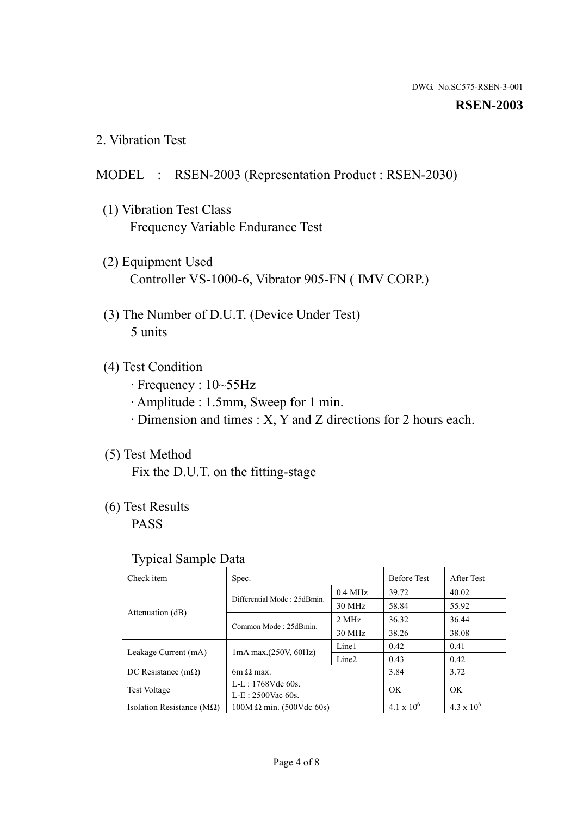#### **RSEN-2003**

2. Vibration Test

# MODEL : RSEN-2003 (Representation Product : RSEN-2030)

- (1) Vibration Test Class Frequency Variable Endurance Test
- (2) Equipment Used Controller VS-1000-6, Vibrator 905-FN ( IMV CORP.)
- (3) The Number of D.U.T. (Device Under Test) 5 units
- (4) Test Condition
	- · Frequency : 10~55Hz
	- · Amplitude : 1.5mm, Sweep for 1 min.
	- · Dimension and times : X, Y and Z directions for 2 hours each.

# (5) Test Method

Fix the D.U.T. on the fitting-stage

# (6) Test Results

PASS

#### Typical Sample Data

| . .                           |                                                         |           |                     |                     |
|-------------------------------|---------------------------------------------------------|-----------|---------------------|---------------------|
| Check item                    | Spec.                                                   |           | <b>Before Test</b>  | After Test          |
|                               | Differential Mode: 25dBmin.                             | $0.4$ MHz | 39.72               | 40.02               |
|                               |                                                         | 30 MHz    | 58.84               | 55.92               |
| Attenuation (dB)              | Common Mode: 25dBmin.                                   | 2 MHz     | 36.32               | 36.44               |
|                               |                                                         | 30 MHz    | 38.26               | 38.08               |
| Leakage Current (mA)          | Line1<br>$1mA$ max. $(250V, 60Hz)$<br>Line <sub>2</sub> |           | 0.42                | 0.41                |
|                               |                                                         |           | 0.43                | 0.42                |
| DC Resistance $(m\Omega)$     | 6m $\Omega$ max.                                        |           | 3.84                | 3.72                |
| <b>Test Voltage</b>           | $L-L: 1768Vdc$ 60s.                                     |           | OK                  | OK.                 |
|                               | $L-E$ : 2500Vac 60s.                                    |           |                     |                     |
| Isolation Resistance ( $MQ$ ) | $100M \Omega$ min. (500Vdc 60s)                         |           | $4.1 \times 10^{6}$ | $4.3 \times 10^{6}$ |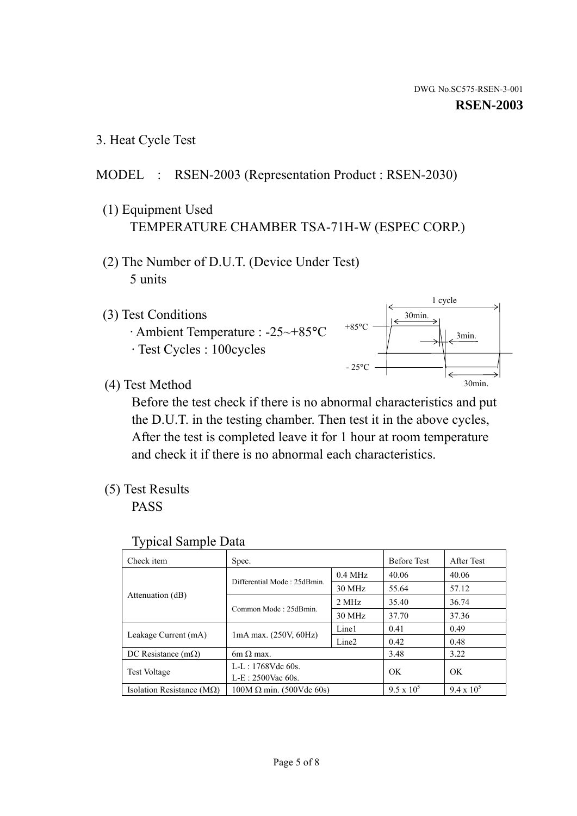3. Heat Cycle Test

# MODEL : RSEN-2003 (Representation Product : RSEN-2030)

- (1) Equipment Used TEMPERATURE CHAMBER TSA-71H-W (ESPEC CORP.)
- (2) The Number of D.U.T. (Device Under Test) 5 units
- (3) Test Conditions
	- · Ambient Temperature : -25~+85°C · Test Cycles : 100cycles



(4) Test Method

 Before the test check if there is no abnormal characteristics and put the D.U.T. in the testing chamber. Then test it in the above cycles, After the test is completed leave it for 1 hour at room temperature and check it if there is no abnormal each characteristics.

(5) Test Results

PASS

| <b>Typical Sample Data</b> |  |  |
|----------------------------|--|--|
|----------------------------|--|--|

| Check item                    | Spec.                                                                       |           | <b>Before Test</b> | After Test        |
|-------------------------------|-----------------------------------------------------------------------------|-----------|--------------------|-------------------|
|                               |                                                                             | $0.4$ MHz | 40.06              | 40.06             |
|                               | Differential Mode: 25dBmin.                                                 | 30 MHz    | 55.64              | 57.12             |
| Attenuation (dB)              | Common Mode: 25dBmin.                                                       | 2 MHz     | 35.40              | 36.74             |
|                               |                                                                             | 30 MHz    | 37.70              | 37.36             |
|                               | Line1<br>$1mA$ max. $(250V, 60Hz)$<br>Line <sub>2</sub><br>$6m \Omega$ max. |           | 0.41               | 0.49              |
| Leakage Current (mA)          |                                                                             |           | 0.42               | 0.48              |
| DC Resistance $(m\Omega)$     |                                                                             |           | 3.48               | 3.22              |
| <b>Test Voltage</b>           | L-L: $1768V$ de $60s$ .                                                     |           | OK                 | OK                |
|                               | $L-E: 2500$ Vac 60s.                                                        |           |                    |                   |
| Isolation Resistance ( $MQ$ ) | $100M \Omega$ min. (500Vdc 60s)                                             |           | $9.5 \times 10^5$  | $9.4 \times 10^5$ |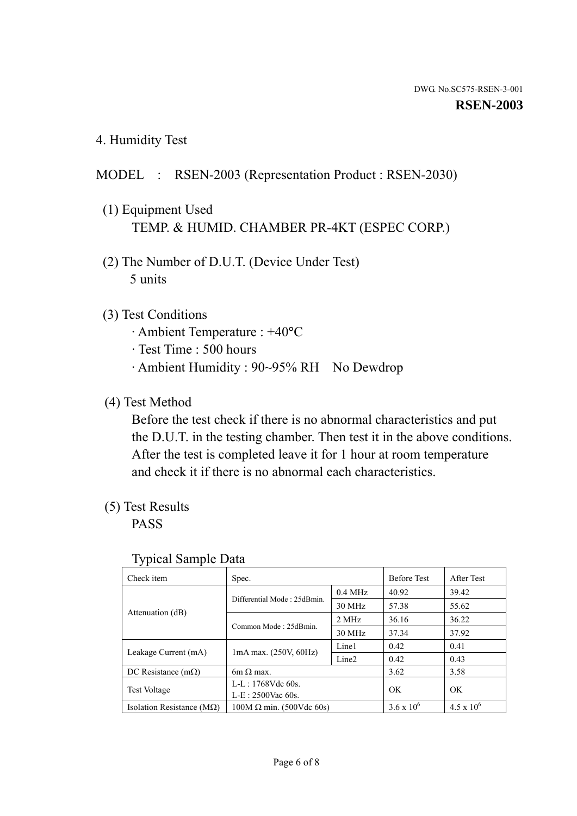4. Humidity Test

# MODEL : RSEN-2003 (Representation Product : RSEN-2030)

- (1) Equipment Used TEMP. & HUMID. CHAMBER PR-4KT (ESPEC CORP.)
- (2) The Number of D.U.T. (Device Under Test) 5 units

# (3) Test Conditions

- · Ambient Temperature : +40°C
- · Test Time : 500 hours
- · Ambient Humidity : 90~95% RH No Dewdrop

# (4) Test Method

 Before the test check if there is no abnormal characteristics and put the D.U.T. in the testing chamber. Then test it in the above conditions. After the test is completed leave it for 1 hour at room temperature and check it if there is no abnormal each characteristics.

# (5) Test Results

PASS

| ╯┸                                 |                                 |                   |                     |                     |
|------------------------------------|---------------------------------|-------------------|---------------------|---------------------|
| Check item                         | Spec.                           |                   | <b>Before Test</b>  | After Test          |
|                                    | Differential Mode: 25dBmin.     | $0.4$ MHz         | 40.92               | 39.42               |
|                                    |                                 | 30 MHz            | 57.38               | 55.62               |
| Attenuation (dB)                   | Common Mode: 25dBmin.           | 2 MHz             | 36.16               | 36.22               |
|                                    |                                 | 30 MHz            | 37.34               | 37.92               |
| Leakage Current (mA)               | $1mA$ max. $(250V, 60Hz)$       | Line1             | 0.42                | 0.41                |
|                                    |                                 | Line <sub>2</sub> | 0.42                | 0.43                |
| DC Resistance $(m\Omega)$          | 6m $\Omega$ max.                |                   | 3.62                | 3.58                |
| <b>Test Voltage</b>                | $L-L: 1768Vdc$ 60s.             |                   | OK                  | OK                  |
|                                    | $L-E: 2500$ Vac 60s.            |                   |                     |                     |
| Isolation Resistance ( $M\Omega$ ) | $100M \Omega$ min. (500Vdc 60s) |                   | $3.6 \times 10^{6}$ | $4.5 \times 10^{6}$ |

#### Typical Sample Data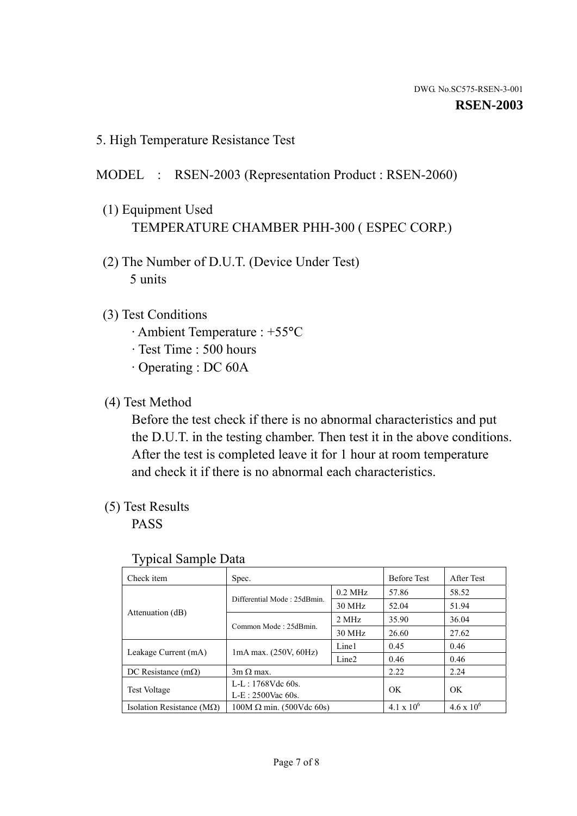5. High Temperature Resistance Test

### MODEL : RSEN-2003 (Representation Product : RSEN-2060)

- (1) Equipment Used TEMPERATURE CHAMBER PHH-300 ( ESPEC CORP.)
- (2) The Number of D.U.T. (Device Under Test) 5 units
- (3) Test Conditions
	- · Ambient Temperature : +55°C
	- · Test Time : 500 hours
	- · Operating : DC 60A
- (4) Test Method

 Before the test check if there is no abnormal characteristics and put the D.U.T. in the testing chamber. Then test it in the above conditions. After the test is completed leave it for 1 hour at room temperature and check it if there is no abnormal each characteristics.

(5) Test Results

PASS

| ╯┸                                 |                                 |                   |                     |                     |
|------------------------------------|---------------------------------|-------------------|---------------------|---------------------|
| Check item                         | Spec.                           |                   | <b>Before Test</b>  | After Test          |
|                                    | Differential Mode: 25dBmin.     | $0.2$ MHz         | 57.86               | 58.52               |
|                                    |                                 | 30 MHz            | 52.04               | 51.94               |
| Attenuation (dB)                   | Common Mode: 25dBmin.           | 2 MHz             | 35.90               | 36.04               |
|                                    |                                 | 30 MHz            | 26.60               | 27.62               |
| Leakage Current (mA)               | $1mA$ max. $(250V, 60Hz)$       | Line1             | 0.45                | 0.46                |
|                                    |                                 | Line <sub>2</sub> | 0.46                | 0.46                |
| DC Resistance $(m\Omega)$          | $3m \Omega$ max.                |                   | 2.22                | 2.24                |
| <b>Test Voltage</b>                | $L-L: 1768Vdc$ 60s.             |                   | OK                  | OK                  |
|                                    | $L-E: 2500$ Vac 60s.            |                   |                     |                     |
| Isolation Resistance ( $M\Omega$ ) | $100M \Omega$ min. (500Vdc 60s) |                   | $4.1 \times 10^{6}$ | $4.6 \times 10^{6}$ |

#### Typical Sample Data